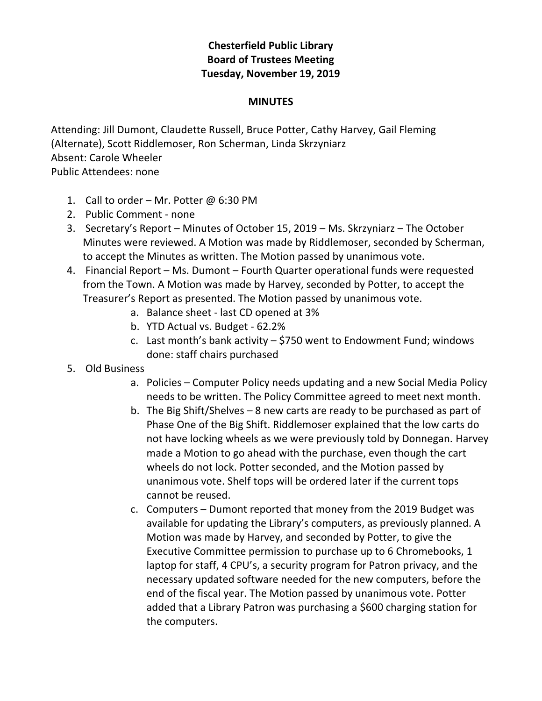## **Chesterfield Public Library Board of Trustees Meeting Tuesday, November 19, 2019**

## **MINUTES**

Attending: Jill Dumont, Claudette Russell, Bruce Potter, Cathy Harvey, Gail Fleming (Alternate), Scott Riddlemoser, Ron Scherman, Linda Skrzyniarz Absent: Carole Wheeler Public Attendees: none

- 1. Call to order Mr. Potter @ 6:30 PM
- 2. Public Comment none
- 3. Secretary's Report Minutes of October 15, 2019 Ms. Skrzyniarz The October Minutes were reviewed. A Motion was made by Riddlemoser, seconded by Scherman, to accept the Minutes as written. The Motion passed by unanimous vote.
- 4. Financial Report Ms. Dumont Fourth Quarter operational funds were requested from the Town. A Motion was made by Harvey, seconded by Potter, to accept the Treasurer's Report as presented. The Motion passed by unanimous vote.
	- a. Balance sheet last CD opened at 3%
	- b. YTD Actual vs. Budget 62.2%
	- c. Last month's bank activity  $-$  \$750 went to Endowment Fund; windows done: staff chairs purchased
- 5. Old Business
	- a. Policies Computer Policy needs updating and a new Social Media Policy needs to be written. The Policy Committee agreed to meet next month.
	- b. The Big Shift/Shelves 8 new carts are ready to be purchased as part of Phase One of the Big Shift. Riddlemoser explained that the low carts do not have locking wheels as we were previously told by Donnegan. Harvey made a Motion to go ahead with the purchase, even though the cart wheels do not lock. Potter seconded, and the Motion passed by unanimous vote. Shelf tops will be ordered later if the current tops cannot be reused.
	- c. Computers Dumont reported that money from the 2019 Budget was available for updating the Library's computers, as previously planned. A Motion was made by Harvey, and seconded by Potter, to give the Executive Committee permission to purchase up to 6 Chromebooks, 1 laptop for staff, 4 CPU's, a security program for Patron privacy, and the necessary updated software needed for the new computers, before the end of the fiscal year. The Motion passed by unanimous vote. Potter added that a Library Patron was purchasing a \$600 charging station for the computers.